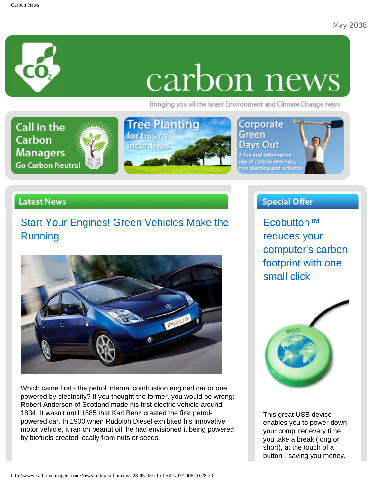

# carbon news

Bringing you all the latest Environment and Climate Change news



#### **Latest News**

## [Start Your Engines! Green Vehicles Make the](http://www.carbonmanagers.com/blog/file/newsletter-articles/start-your-engines.aspx)  [Running](http://www.carbonmanagers.com/blog/file/newsletter-articles/start-your-engines.aspx)



Which came first - the petrol internal combustion engined car or one powered by electricity? If you thought the former, you would be wrong: Robert Anderson of Scotland made his first electric vehicle around 1834. It wasn't until 1885 that Karl Benz created the first petrolpowered car. In 1900 when Rudolph Diesel exhibited his innovative motor vehicle, it ran on peanut oil: he had envisioned it being powered by biofuels created locally from nuts or seeds.

#### **Special Offer**

[Ecobutton™](http://www.nigelsecostore.com/cgi-bin/affiliate/clickme.cgi?exec=CarbonManagers&site=site1) [reduces your](http://www.nigelsecostore.com/cgi-bin/affiliate/clickme.cgi?exec=CarbonManagers&site=site1) [computer's carbon](http://www.nigelsecostore.com/cgi-bin/affiliate/clickme.cgi?exec=CarbonManagers&site=site1) [footprint with one](http://www.nigelsecostore.com/cgi-bin/affiliate/clickme.cgi?exec=CarbonManagers&site=site1) [small click](http://www.nigelsecostore.com/cgi-bin/affiliate/clickme.cgi?exec=CarbonManagers&site=site1)



This great USB device enables you to power down your computer every time you take a break (long or short), at the touch of a button - saving you money,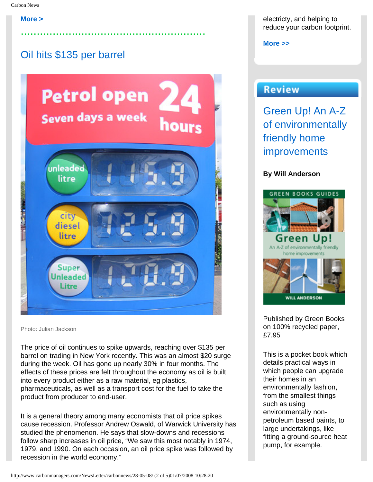#### **[More >](http://www.carbonmanagers.com/blog/file/newsletter-articles/start-your-engines.aspx)**

## [Oil hits \\$135 per barrel](http://www.carbonmanagers.com/blog/file/newsletter-articles/oil-hits-129.aspx)



..........................................................

Photo: Julian Jackson

The price of oil continues to spike upwards, reaching over \$135 per barrel on trading in New York recently. This was an almost \$20 surge during the week. Oil has gone up nearly 30% in four months. The effects of these prices are felt throughout the economy as oil is built into every product either as a raw material, eg plastics, pharmaceuticals, as well as a transport cost for the fuel to take the product from producer to end-user.

It is a general theory among many economists that oil price spikes cause recession. Professor Andrew Oswald, of Warwick University has studied the phenomenon. He says that slow-downs and recessions follow sharp increases in oil price, "We saw this most notably in 1974, 1979, and 1990. On each occasion, an oil price spike was followed by recession in the world economy."

electricty, and helping to reduce your carbon footprint.

**[More >>](http://www.nigelsecostore.com/cgi-bin/affiliate/clickme.cgi?exec=CarbonManagers&site=site1)**

#### **Review**

[Green Up! An A-Z](http://www.carbonmanagers.com/blog/file/newsletter-articles/green-up-an.aspx)  [of environmentally](http://www.carbonmanagers.com/blog/file/newsletter-articles/green-up-an.aspx)  [friendly home](http://www.carbonmanagers.com/blog/file/newsletter-articles/green-up-an.aspx)  [improvements](http://www.carbonmanagers.com/blog/file/newsletter-articles/green-up-an.aspx) 

#### **By Will Anderson**



Published by Green Books on 100% recycled paper, £7.95

This is a pocket book which details practical ways in which people can upgrade their homes in an environmentally fashion, from the smallest things such as using environmentally nonpetroleum based paints, to large undertakings, like fitting a ground-source heat pump, for example.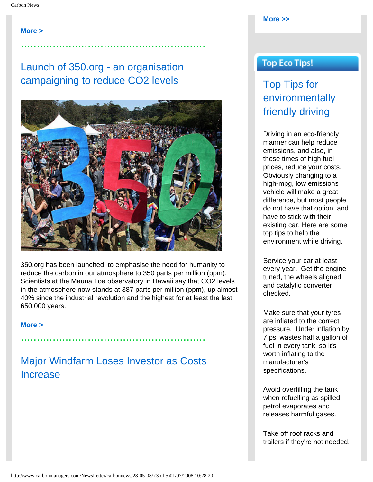**[More >](http://www.carbonmanagers.com/blog/file/newsletter-articles/oil-hits-129.aspx)**

#### [Launch of 350.org - an organisation](http://www.carbonmanagers.com/blog/file/newsletter-articles/launch-of-350org.aspx) [campaigning to reduce CO2 levels](http://www.carbonmanagers.com/blog/file/newsletter-articles/launch-of-350org.aspx)

..........................................................



350.org has been launched, to emphasise the need for humanity to reduce the carbon in our atmosphere to 350 parts per million (ppm). Scientists at the Mauna Loa observatory in Hawaii say that CO2 levels in the atmosphere now stands at 387 parts per million (ppm), up almost 40% since the industrial revolution and the highest for at least the last 650,000 years.

**[More >](http://www.carbonmanagers.com/blog/file/newsletter-articles/launch-of-350org.aspx)**

[Major Windfarm Loses Investor as Costs](http://www.carbonmanagers.com/blog/file/newsletter-articles/major-windfarm-loses.aspx) [Increase](http://www.carbonmanagers.com/blog/file/newsletter-articles/major-windfarm-loses.aspx)

..........................................................

#### **[More >>](http://www.carbonmanagers.com/blog/file/newsletter-articles/green-up-an.aspx)**

#### **Top Eco Tips!**

[Top Tips for](http://www.carbonmanagers.com/blog/file/newsletter-articles/top-tips-for_2.aspx)  [environmentally](http://www.carbonmanagers.com/blog/file/newsletter-articles/top-tips-for_2.aspx)  [friendly driving](http://www.carbonmanagers.com/blog/file/newsletter-articles/top-tips-for_2.aspx)

Driving in an eco-friendly manner can help reduce emissions, and also, in these times of high fuel prices, reduce your costs. Obviously changing to a high-mpg, low emissions vehicle will make a great difference, but most people do not have that option, and have to stick with their existing car. Here are some top tips to help the environment while driving.

Service your car at least every year. Get the engine tuned, the wheels aligned and catalytic converter checked.

Make sure that your tyres are inflated to the correct pressure. Under inflation by 7 psi wastes half a gallon of fuel in every tank, so it's worth inflating to the manufacturer's specifications.

Avoid overfilling the tank when refuelling as spilled petrol evaporates and releases harmful gases.

Take off roof racks and trailers if they're not needed.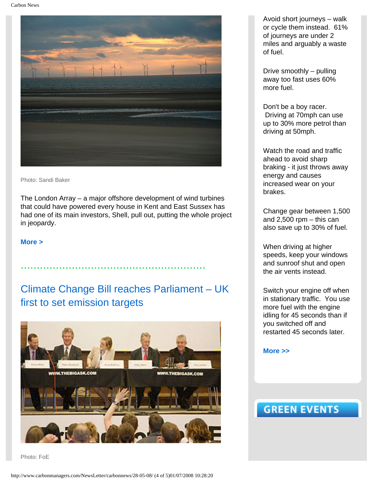Carbon News



Photo: Sandi Baker

The London Array – a major offshore development of wind turbines that could have powered every house in Kent and East Sussex has had one of its main investors, Shell, pull out, putting the whole project in jeopardy.

**[More >](http://www.carbonmanagers.com/blog/file/newsletter-articles/major-windfarm-loses.aspx)**

## [Climate Change Bill reaches Parliament – UK](http://www.carbonmanagers.com/blog/file/newsletter-articles/climate-change-bill.aspx)  [first to set emission targets](http://www.carbonmanagers.com/blog/file/newsletter-articles/climate-change-bill.aspx)

..........................................................



Photo: FoE

Avoid short journeys – walk or cycle them instead. 61% of journeys are under 2 miles and arguably a waste of fuel.

Drive smoothly – pulling away too fast uses 60% more fuel.

Don't be a boy racer. Driving at 70mph can use up to 30% more petrol than driving at 50mph.

Watch the road and traffic ahead to avoid sharp braking - it just throws away energy and causes increased wear on your brakes.

Change gear between 1,500 and  $2,500$  rpm  $-$  this can also save up to 30% of fuel.

When driving at higher speeds, keep your windows and sunroof shut and open the air vents instead.

Switch your engine off when in stationary traffic. You use more fuel with the engine idling for 45 seconds than if you switched off and restarted 45 seconds later.

**[More >>](http://www.carbonmanagers.com/blog/file/newsletter-articles/top-tips-for_2.aspx)**

### **GREEN EVENTS**